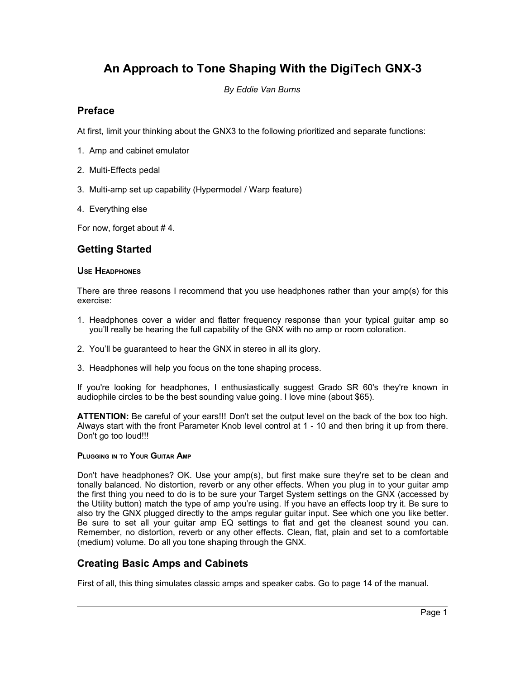# **An Approach to Tone Shaping With the DigiTech GNX-3**

*By Eddie Van Burns*

## **Preface**

At first, limit your thinking about the GNX3 to the following prioritized and separate functions:

- 1. Amp and cabinet emulator
- 2. Multi-Effects pedal
- 3. Multi-amp set up capability (Hypermodel / Warp feature)
- 4. Everything else

For now, forget about # 4.

# **Getting Started**

#### **USE HEADPHONES**

There are three reasons I recommend that you use headphones rather than your amp(s) for this exercise:

- 1. Headphones cover a wider and flatter frequency response than your typical guitar amp so you'll really be hearing the full capability of the GNX with no amp or room coloration.
- 2. You'll be guaranteed to hear the GNX in stereo in all its glory.
- 3. Headphones will help you focus on the tone shaping process.

If you're looking for headphones, I enthusiastically suggest Grado SR 60's they're known in audiophile circles to be the best sounding value going. I love mine (about \$65).

**ATTENTION:** Be careful of your ears!!! Don't set the output level on the back of the box too high. Always start with the front Parameter Knob level control at 1 - 10 and then bring it up from there. Don't go too loud!!!

#### **PLUGGING IN TO YOUR GUITAR AMP**

Don't have headphones? OK. Use your amp(s), but first make sure they're set to be clean and tonally balanced. No distortion, reverb or any other effects. When you plug in to your guitar amp the first thing you need to do is to be sure your Target System settings on the GNX (accessed by the Utility button) match the type of amp you're using. If you have an effects loop try it. Be sure to also try the GNX plugged directly to the amps regular guitar input. See which one you like better. Be sure to set all your guitar amp EQ settings to flat and get the cleanest sound you can. Remember, no distortion, reverb or any other effects. Clean, flat, plain and set to a comfortable (medium) volume. Do all you tone shaping through the GNX.

# **Creating Basic Amps and Cabinets**

First of all, this thing simulates classic amps and speaker cabs. Go to page 14 of the manual.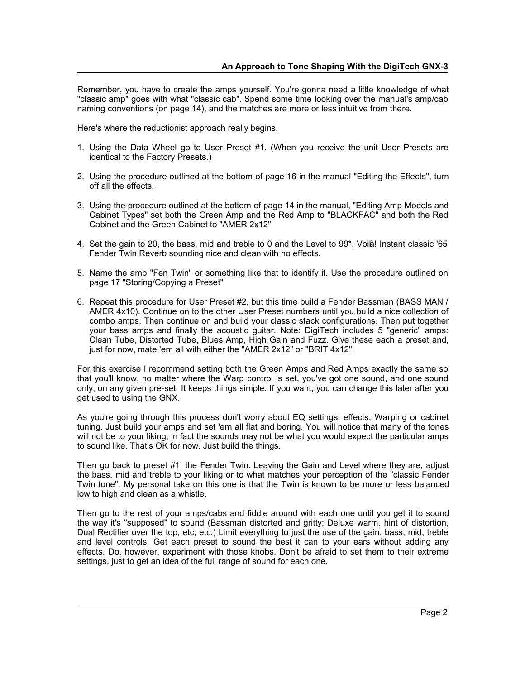Remember, you have to create the amps yourself. You're gonna need a little knowledge of what "classic amp" goes with what "classic cab". Spend some time looking over the manual's amp/cab naming conventions (on page 14), and the matches are more or less intuitive from there.

Here's where the reductionist approach really begins.

- 1. Using the Data Wheel go to User Preset #1. (When you receive the unit User Presets are identical to the Factory Presets.)
- 2. Using the procedure outlined at the bottom of page 16 in the manual "Editing the Effects", turn off all the effects.
- 3. Using the procedure outlined at the bottom of page 14 in the manual, "Editing Amp Models and Cabinet Types" set both the Green Amp and the Red Amp to "BLACKFAC" and both the Red Cabinet and the Green Cabinet to "AMER 2x12"
- 4. Set the gain to 20, the bass, mid and treble to 0 and the Level to 99\*. Voilà! Instant classic '65 Fender Twin Reverb sounding nice and clean with no effects.
- 5. Name the amp "Fen Twin" or something like that to identify it. Use the procedure outlined on page 17 "Storing/Copying a Preset"
- 6. Repeat this procedure for User Preset #2, but this time build a Fender Bassman (BASS MAN / AMER 4x10). Continue on to the other User Preset numbers until you build a nice collection of combo amps. Then continue on and build your classic stack configurations. Then put together your bass amps and finally the acoustic guitar. Note: DigiTech includes 5 "generic" amps: Clean Tube, Distorted Tube, Blues Amp, High Gain and Fuzz. Give these each a preset and, just for now, mate 'em all with either the "AMER 2x12" or "BRIT 4x12".

For this exercise I recommend setting both the Green Amps and Red Amps exactly the same so that you'll know, no matter where the Warp control is set, you've got one sound, and one sound only, on any given pre-set. It keeps things simple. If you want, you can change this later after you get used to using the GNX.

As you're going through this process don't worry about EQ settings, effects, Warping or cabinet tuning. Just build your amps and set 'em all flat and boring. You will notice that many of the tones will not be to your liking; in fact the sounds may not be what you would expect the particular amps to sound like. That's OK for now. Just build the things.

Then go back to preset #1, the Fender Twin. Leaving the Gain and Level where they are, adjust the bass, mid and treble to your liking or to what matches your perception of the "classic Fender Twin tone". My personal take on this one is that the Twin is known to be more or less balanced low to high and clean as a whistle.

Then go to the rest of your amps/cabs and fiddle around with each one until you get it to sound the way it's "supposed" to sound (Bassman distorted and gritty; Deluxe warm, hint of distortion, Dual Rectifier over the top, etc, etc.) Limit everything to just the use of the gain, bass, mid, treble and level controls. Get each preset to sound the best it can to your ears without adding any effects. Do, however, experiment with those knobs. Don't be afraid to set them to their extreme settings, just to get an idea of the full range of sound for each one.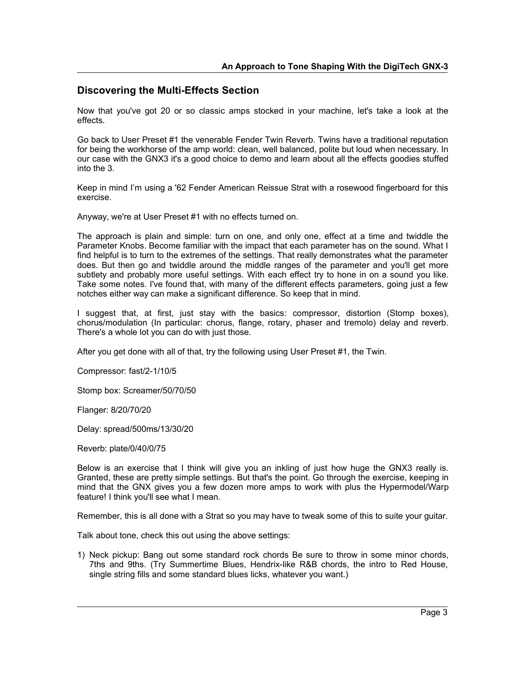## **Discovering the Multi-Effects Section**

Now that you've got 20 or so classic amps stocked in your machine, let's take a look at the effects.

Go back to User Preset #1 the venerable Fender Twin Reverb. Twins have a traditional reputation for being the workhorse of the amp world: clean, well balanced, polite but loud when necessary. In our case with the GNX3 it's a good choice to demo and learn about all the effects goodies stuffed into the 3.

Keep in mind I'm using a '62 Fender American Reissue Strat with a rosewood fingerboard for this exercise.

Anyway, we're at User Preset #1 with no effects turned on.

The approach is plain and simple: turn on one, and only one, effect at a time and twiddle the Parameter Knobs. Become familiar with the impact that each parameter has on the sound. What I find helpful is to turn to the extremes of the settings. That really demonstrates what the parameter does. But then go and twiddle around the middle ranges of the parameter and you'll get more subtlety and probably more useful settings. With each effect try to hone in on a sound you like. Take some notes. I've found that, with many of the different effects parameters, going just a few notches either way can make a significant difference. So keep that in mind.

I suggest that, at first, just stay with the basics: compressor, distortion (Stomp boxes), chorus/modulation (In particular: chorus, flange, rotary, phaser and tremolo) delay and reverb. There's a whole lot you can do with just those.

After you get done with all of that, try the following using User Preset #1, the Twin.

Compressor: fast/2-1/10/5

Stomp box: Screamer/50/70/50

Flanger: 8/20/70/20

Delay: spread/500ms/13/30/20

Reverb: plate/0/40/0/75

Below is an exercise that I think will give you an inkling of just how huge the GNX3 really is. Granted, these are pretty simple settings. But that's the point. Go through the exercise, keeping in mind that the GNX gives you a few dozen more amps to work with plus the Hypermodel/Warp feature! I think you'll see what I mean.

Remember, this is all done with a Strat so you may have to tweak some of this to suite your guitar.

Talk about tone, check this out using the above settings:

1) Neck pickup: Bang out some standard rock chords Be sure to throw in some minor chords, 7ths and 9ths. (Try Summertime Blues, Hendrix-like R&B chords, the intro to Red House, single string fills and some standard blues licks, whatever you want.)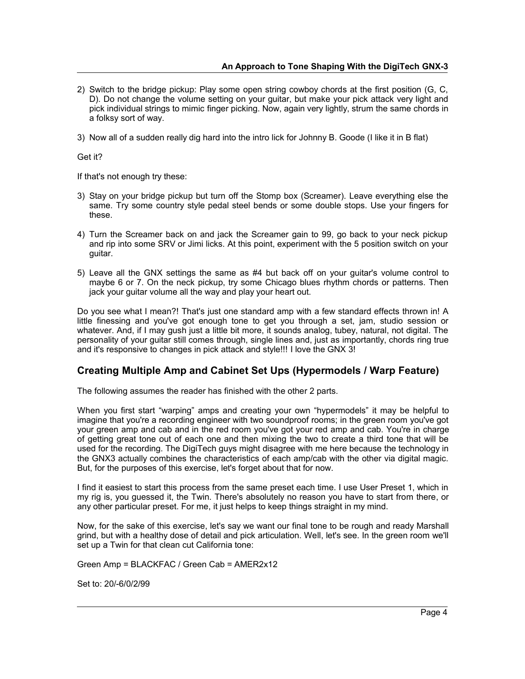- 2) Switch to the bridge pickup: Play some open string cowboy chords at the first position (G, C, D). Do not change the volume setting on your guitar, but make your pick attack very light and pick individual strings to mimic finger picking. Now, again very lightly, strum the same chords in a folksy sort of way.
- 3) Now all of a sudden really dig hard into the intro lick for Johnny B. Goode (I like it in B flat)

Get it?

If that's not enough try these:

- 3) Stay on your bridge pickup but turn off the Stomp box (Screamer). Leave everything else the same. Try some country style pedal steel bends or some double stops. Use your fingers for these.
- 4) Turn the Screamer back on and jack the Screamer gain to 99, go back to your neck pickup and rip into some SRV or Jimi licks. At this point, experiment with the 5 position switch on your guitar.
- 5) Leave all the GNX settings the same as #4 but back off on your guitar's volume control to maybe 6 or 7. On the neck pickup, try some Chicago blues rhythm chords or patterns. Then jack your guitar volume all the way and play your heart out.

Do you see what I mean?! That's just one standard amp with a few standard effects thrown in! A little finessing and you've got enough tone to get you through a set, jam, studio session or whatever. And, if I may gush just a little bit more, it sounds analog, tubey, natural, not digital. The personality of your guitar still comes through, single lines and, just as importantly, chords ring true and it's responsive to changes in pick attack and style!!! I love the GNX 3!

## **Creating Multiple Amp and Cabinet Set Ups (Hypermodels / Warp Feature)**

The following assumes the reader has finished with the other 2 parts.

When you first start "warping" amps and creating your own "hypermodels" it may be helpful to imagine that you're a recording engineer with two soundproof rooms; in the green room you've got your green amp and cab and in the red room you've got your red amp and cab. You're in charge of getting great tone out of each one and then mixing the two to create a third tone that will be used for the recording. The DigiTech guys might disagree with me here because the technology in the GNX3 actually combines the characteristics of each amp/cab with the other via digital magic. But, for the purposes of this exercise, let's forget about that for now.

I find it easiest to start this process from the same preset each time. I use User Preset 1, which in my rig is, you guessed it, the Twin. There's absolutely no reason you have to start from there, or any other particular preset. For me, it just helps to keep things straight in my mind.

Now, for the sake of this exercise, let's say we want our final tone to be rough and ready Marshall grind, but with a healthy dose of detail and pick articulation. Well, let's see. In the green room we'll set up a Twin for that clean cut California tone:

Green Amp = BLACKFAC / Green Cab = AMER2x12

Set to: 20/-6/0/2/99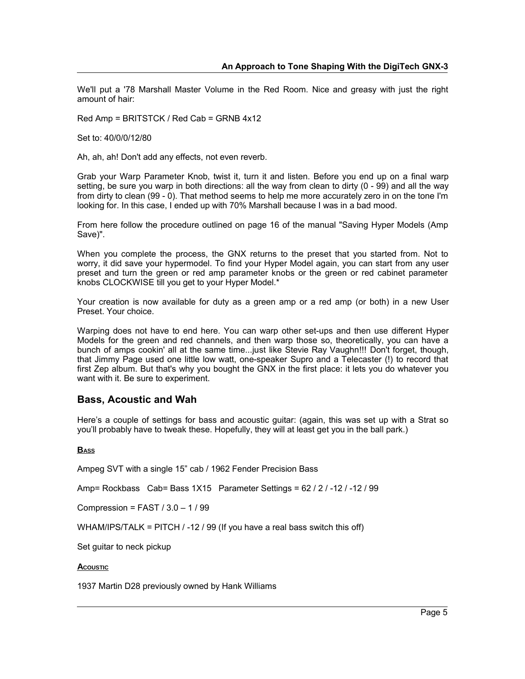We'll put a '78 Marshall Master Volume in the Red Room. Nice and greasy with just the right amount of hair:

Red Amp = BRITSTCK / Red Cab = GRNB 4x12

Set to: 40/0/0/12/80

Ah, ah, ah! Don't add any effects, not even reverb.

Grab your Warp Parameter Knob, twist it, turn it and listen. Before you end up on a final warp setting, be sure you warp in both directions: all the way from clean to dirty (0 - 99) and all the way from dirty to clean (99 - 0). That method seems to help me more accurately zero in on the tone I'm looking for. In this case, I ended up with 70% Marshall because I was in a bad mood.

From here follow the procedure outlined on page 16 of the manual "Saving Hyper Models (Amp Save)".

When you complete the process, the GNX returns to the preset that you started from. Not to worry, it did save your hypermodel. To find your Hyper Model again, you can start from any user preset and turn the green or red amp parameter knobs or the green or red cabinet parameter knobs CLOCKWISE till you get to your Hyper Model.\*

Your creation is now available for duty as a green amp or a red amp (or both) in a new User Preset. Your choice.

Warping does not have to end here. You can warp other set-ups and then use different Hyper Models for the green and red channels, and then warp those so, theoretically, you can have a bunch of amps cookin' all at the same time...just like Stevie Ray Vaughn!!! Don't forget, though, that Jimmy Page used one little low watt, one-speaker Supro and a Telecaster (!) to record that first Zep album. But that's why you bought the GNX in the first place: it lets you do whatever you want with it. Be sure to experiment.

#### **Bass, Acoustic and Wah**

Here's a couple of settings for bass and acoustic guitar: (again, this was set up with a Strat so you'll probably have to tweak these. Hopefully, they will at least get you in the ball park.)

#### **BASS**

Ampeg SVT with a single 15" cab / 1962 Fender Precision Bass

Amp= Rockbass Cab= Bass 1X15 Parameter Settings = 62 / 2 / -12 / -12 / 99

Compression = FAST  $/$  3.0 - 1  $/$  99

WHAM/IPS/TALK = PITCH / -12 / 99 (If you have a real bass switch this off)

Set guitar to neck pickup

#### **ACOUSTIC**

1937 Martin D28 previously owned by Hank Williams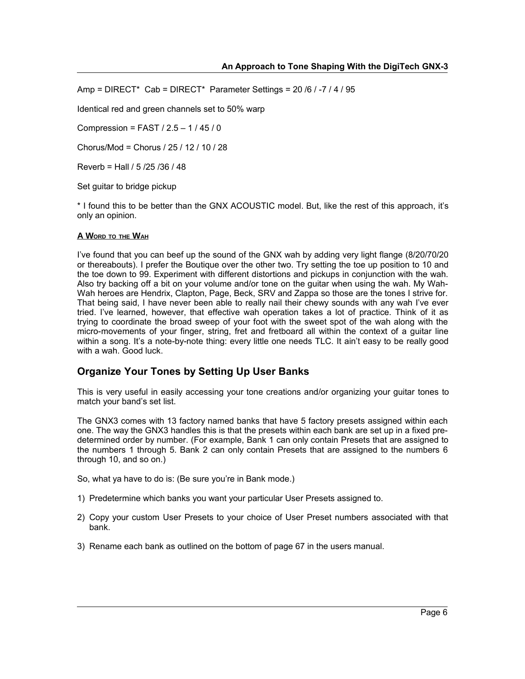Amp = DIRECT\* Cab = DIRECT\* Parameter Settings = 20 /6 / -7 / 4 / 95

Identical red and green channels set to 50% warp

Compression = FAST / 2.5 – 1 / 45 / 0

Chorus/Mod = Chorus / 25 / 12 / 10 / 28

Reverb = Hall / 5 /25 /36 / 48

Set guitar to bridge pickup

\* I found this to be better than the GNX ACOUSTIC model. But, like the rest of this approach, it's only an opinion.

#### **A WORD TO THE WAH**

I've found that you can beef up the sound of the GNX wah by adding very light flange (8/20/70/20 or thereabouts). I prefer the Boutique over the other two. Try setting the toe up position to 10 and the toe down to 99. Experiment with different distortions and pickups in conjunction with the wah. Also try backing off a bit on your volume and/or tone on the guitar when using the wah. My Wah-Wah heroes are Hendrix, Clapton, Page, Beck, SRV and Zappa so those are the tones I strive for. That being said, I have never been able to really nail their chewy sounds with any wah I've ever tried. I've learned, however, that effective wah operation takes a lot of practice. Think of it as trying to coordinate the broad sweep of your foot with the sweet spot of the wah along with the micro-movements of your finger, string, fret and fretboard all within the context of a guitar line within a song. It's a note-by-note thing: every little one needs TLC. It ain't easy to be really good with a wah. Good luck.

## **Organize Your Tones by Setting Up User Banks**

This is very useful in easily accessing your tone creations and/or organizing your guitar tones to match your band's set list.

The GNX3 comes with 13 factory named banks that have 5 factory presets assigned within each one. The way the GNX3 handles this is that the presets within each bank are set up in a fixed predetermined order by number. (For example, Bank 1 can only contain Presets that are assigned to the numbers 1 through 5. Bank 2 can only contain Presets that are assigned to the numbers 6 through 10, and so on.)

So, what ya have to do is: (Be sure you're in Bank mode.)

- 1) Predetermine which banks you want your particular User Presets assigned to.
- 2) Copy your custom User Presets to your choice of User Preset numbers associated with that bank.
- 3) Rename each bank as outlined on the bottom of page 67 in the users manual.